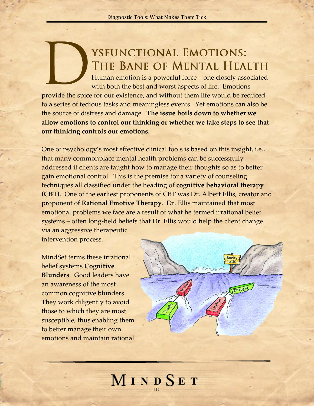## YSFUNCTIONAL EMOTIONS: THE BANE OF MENTAL HEALTH

Human emotion is a powerful force – one closely associated with both the best and worst aspects of life. Emotions

provide the spice for our existence, and without them life would be reduced to a series of tedious tasks and meaningless events. Yet emotions can also be the source of distress and damage. **The issue boils down to whether we allow emotions to control our thinking or whether we take steps to see that our thinking controls our emotions.** 

One of psychology's most effective clinical tools is based on this insight, i.e., that many commonplace mental health problems can be successfully addressed if clients are taught how to manage their thoughts so as to better gain emotional control. This is the premise for a variety of counseling techniques all classified under the heading of **cognitive behavioral therapy (CBT)**. One of the earliest proponents of CBT was Dr. Albert Ellis, creator and proponent of **Rational Emotive Therapy**. Dr. Ellis maintained that most emotional problems we face are a result of what he termed irrational belief systems – often long-held beliefs that Dr. Ellis would help the client change via an aggressive therapeutic

intervention process.

MindSet terms these irrational belief systems **Cognitive Blunders**. Good leaders have an awareness of the most common cognitive blunders. They work diligently to avoid those to which they are most susceptible, thus enabling them to better manage their own emotions and maintain rational



## MINDSET